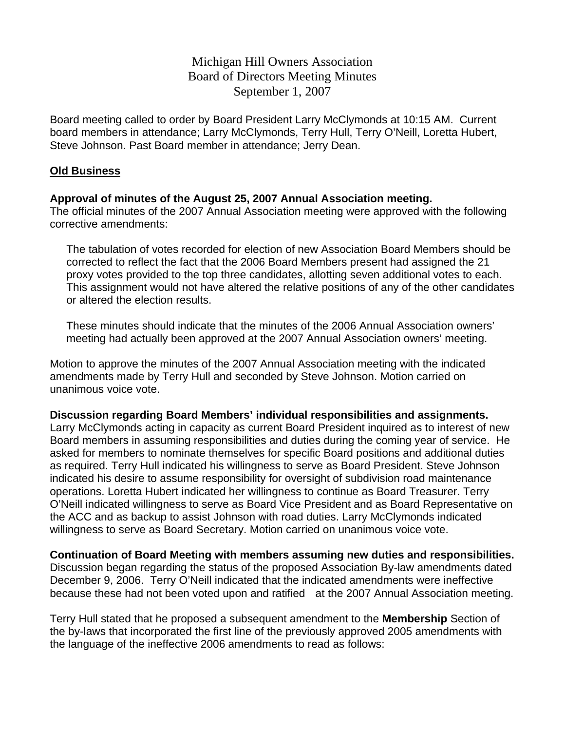Michigan Hill Owners Association Board of Directors Meeting Minutes September 1, 2007

Board meeting called to order by Board President Larry McClymonds at 10:15 AM. Current board members in attendance; Larry McClymonds, Terry Hull, Terry O'Neill, Loretta Hubert, Steve Johnson. Past Board member in attendance; Jerry Dean.

### **Old Business**

### **Approval of minutes of the August 25, 2007 Annual Association meeting.**

The official minutes of the 2007 Annual Association meeting were approved with the following corrective amendments:

The tabulation of votes recorded for election of new Association Board Members should be corrected to reflect the fact that the 2006 Board Members present had assigned the 21 proxy votes provided to the top three candidates, allotting seven additional votes to each. This assignment would not have altered the relative positions of any of the other candidates or altered the election results.

These minutes should indicate that the minutes of the 2006 Annual Association owners' meeting had actually been approved at the 2007 Annual Association owners' meeting.

Motion to approve the minutes of the 2007 Annual Association meeting with the indicated amendments made by Terry Hull and seconded by Steve Johnson. Motion carried on unanimous voice vote.

**Discussion regarding Board Members' individual responsibilities and assignments.** 

Larry McClymonds acting in capacity as current Board President inquired as to interest of new Board members in assuming responsibilities and duties during the coming year of service. He asked for members to nominate themselves for specific Board positions and additional duties as required. Terry Hull indicated his willingness to serve as Board President. Steve Johnson indicated his desire to assume responsibility for oversight of subdivision road maintenance operations. Loretta Hubert indicated her willingness to continue as Board Treasurer. Terry O'Neill indicated willingness to serve as Board Vice President and as Board Representative on the ACC and as backup to assist Johnson with road duties. Larry McClymonds indicated willingness to serve as Board Secretary. Motion carried on unanimous voice vote.

**Continuation of Board Meeting with members assuming new duties and responsibilities.**  Discussion began regarding the status of the proposed Association By-law amendments dated December 9, 2006. Terry O'Neill indicated that the indicated amendments were ineffective because these had not been voted upon and ratified at the 2007 Annual Association meeting.

Terry Hull stated that he proposed a subsequent amendment to the **Membership** Section of the by-laws that incorporated the first line of the previously approved 2005 amendments with the language of the ineffective 2006 amendments to read as follows: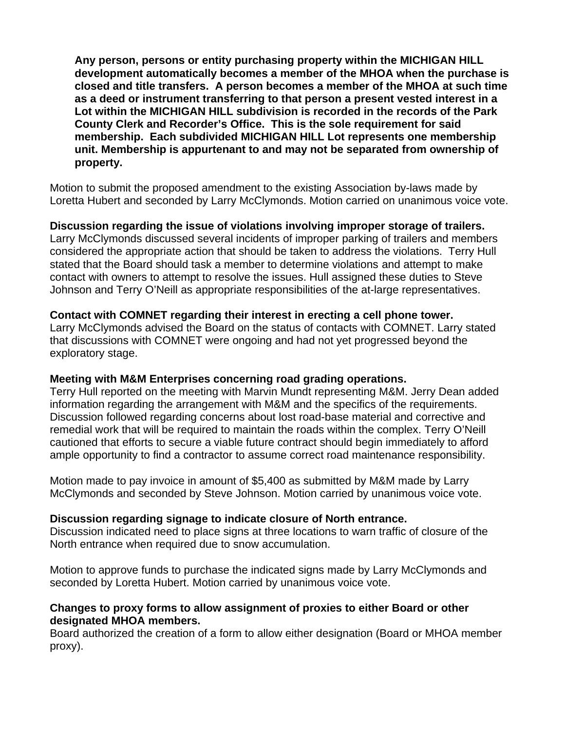**Any person, persons or entity purchasing property within the MICHIGAN HILL development automatically becomes a member of the MHOA when the purchase is closed and title transfers. A person becomes a member of the MHOA at such time as a deed or instrument transferring to that person a present vested interest in a Lot within the MICHIGAN HILL subdivision is recorded in the records of the Park County Clerk and Recorder's Office. This is the sole requirement for said membership. Each subdivided MICHIGAN HILL Lot represents one membership unit. Membership is appurtenant to and may not be separated from ownership of property.** 

Motion to submit the proposed amendment to the existing Association by-laws made by Loretta Hubert and seconded by Larry McClymonds. Motion carried on unanimous voice vote.

**Discussion regarding the issue of violations involving improper storage of trailers.**  Larry McClymonds discussed several incidents of improper parking of trailers and members considered the appropriate action that should be taken to address the violations. Terry Hull stated that the Board should task a member to determine violations and attempt to make contact with owners to attempt to resolve the issues. Hull assigned these duties to Steve Johnson and Terry O'Neill as appropriate responsibilities of the at-large representatives.

## **Contact with COMNET regarding their interest in erecting a cell phone tower.**

Larry McClymonds advised the Board on the status of contacts with COMNET. Larry stated that discussions with COMNET were ongoing and had not yet progressed beyond the exploratory stage.

### **Meeting with M&M Enterprises concerning road grading operations.**

Terry Hull reported on the meeting with Marvin Mundt representing M&M. Jerry Dean added information regarding the arrangement with M&M and the specifics of the requirements. Discussion followed regarding concerns about lost road-base material and corrective and remedial work that will be required to maintain the roads within the complex. Terry O'Neill cautioned that efforts to secure a viable future contract should begin immediately to afford ample opportunity to find a contractor to assume correct road maintenance responsibility.

Motion made to pay invoice in amount of \$5,400 as submitted by M&M made by Larry McClymonds and seconded by Steve Johnson. Motion carried by unanimous voice vote.

### **Discussion regarding signage to indicate closure of North entrance.**

Discussion indicated need to place signs at three locations to warn traffic of closure of the North entrance when required due to snow accumulation.

Motion to approve funds to purchase the indicated signs made by Larry McClymonds and seconded by Loretta Hubert. Motion carried by unanimous voice vote.

### **Changes to proxy forms to allow assignment of proxies to either Board or other designated MHOA members.**

Board authorized the creation of a form to allow either designation (Board or MHOA member proxy).